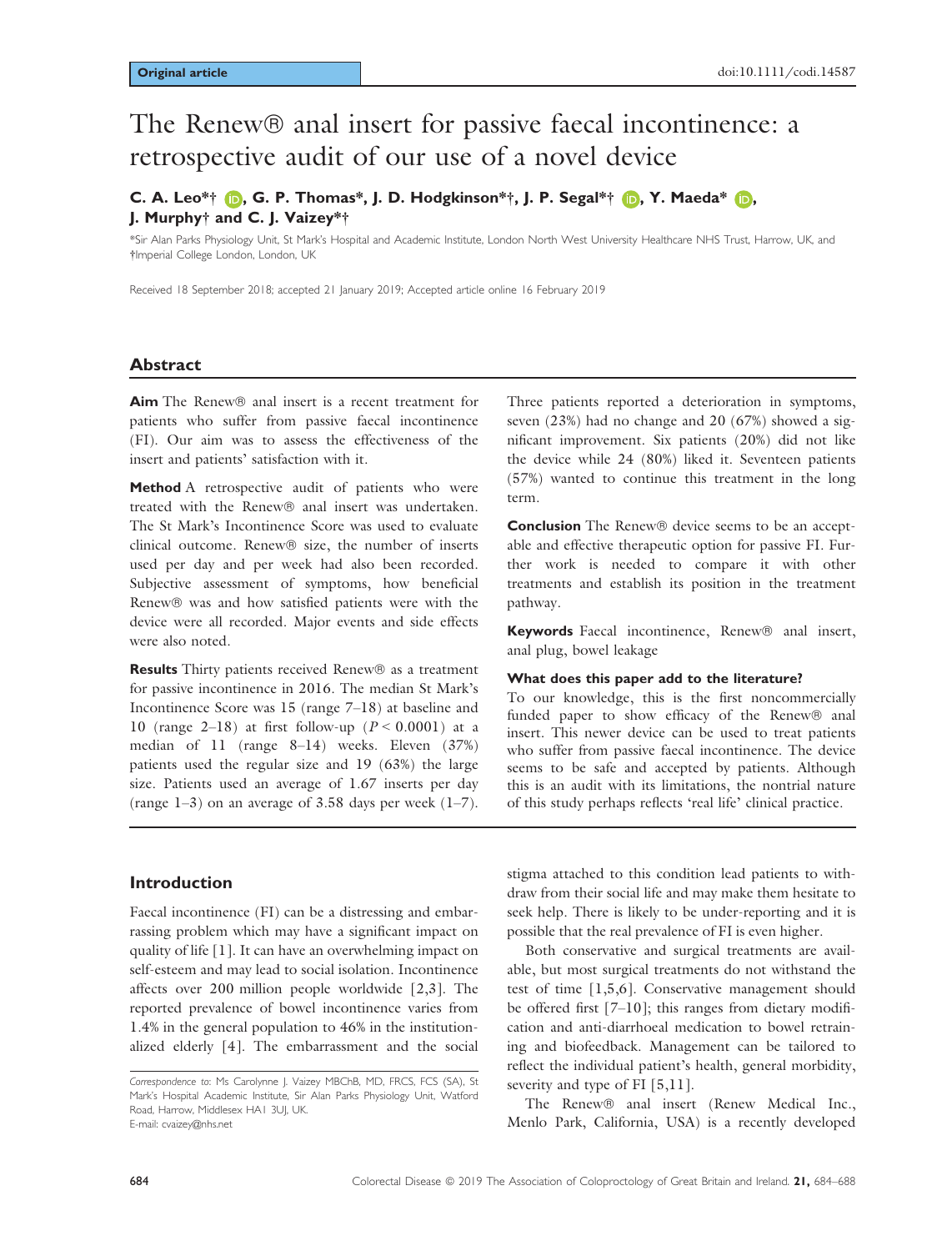# The Renew® anal insert for passive faecal incontinence: a retrospective audit of our use of a novel device

# C. A. Leo\*[†](https://orcid.org/0000-0002-9668-0316)  $\bigcirc$ , G. P. Thomas\*, J. D. Hodgkinson\*†, J. P. Segal\*†  $\bigcirc$ , Y. Maeda\*  $\bigcirc$ , J. Murphy† and C. J. Vaizey\*†

\*Sir Alan Parks Physiology Unit, St Mark's Hospital and Academic Institute, London North West University Healthcare NHS Trust, Harrow, UK, and †Imperial College London, London, UK

Received 18 September 2018; accepted 21 January 2019; Accepted article online 16 February 2019

#### Abstract

Aim The Renew® anal insert is a recent treatment for patients who suffer from passive faecal incontinence (FI). Our aim was to assess the effectiveness of the insert and patients' satisfaction with it.

Method A retrospective audit of patients who were treated with the Renew® anal insert was undertaken. The St Mark's Incontinence Score was used to evaluate clinical outcome. Renew® size, the number of inserts used per day and per week had also been recorded. Subjective assessment of symptoms, how beneficial Renew® was and how satisfied patients were with the device were all recorded. Major events and side effects were also noted.

**Results** Thirty patients received Renew<sup>®</sup> as a treatment for passive incontinence in 2016. The median St Mark's Incontinence Score was 15 (range 7–18) at baseline and 10 (range 2–18) at first follow-up  $(P < 0.0001)$  at a median of 11 (range 8–14) weeks. Eleven (37%) patients used the regular size and 19 (63%) the large size. Patients used an average of 1.67 inserts per day (range  $1-3$ ) on an average of 3.58 days per week  $(1-7)$ .

Introduction

Faecal incontinence (FI) can be a distressing and embarrassing problem which may have a significant impact on quality of life [1]. It can have an overwhelming impact on self-esteem and may lead to social isolation. Incontinence affects over 200 million people worldwide [2,3]. The reported prevalence of bowel incontinence varies from 1.4% in the general population to 46% in the institutionalized elderly [4]. The embarrassment and the social Three patients reported a deterioration in symptoms, seven (23%) had no change and 20 (67%) showed a significant improvement. Six patients (20%) did not like the device while 24 (80%) liked it. Seventeen patients (57%) wanted to continue this treatment in the long term.

**Conclusion** The Renew<sup>®</sup> device seems to be an acceptable and effective therapeutic option for passive FI. Further work is needed to compare it with other treatments and establish its position in the treatment pathway.

Keywords Faecal incontinence, Renew<sup>®</sup> anal insert, anal plug, bowel leakage

#### What does this paper add to the literature?

To our knowledge, this is the first noncommercially funded paper to show efficacy of the Renew® anal insert. This newer device can be used to treat patients who suffer from passive faecal incontinence. The device seems to be safe and accepted by patients. Although this is an audit with its limitations, the nontrial nature of this study perhaps reflects 'real life' clinical practice.

stigma attached to this condition lead patients to withdraw from their social life and may make them hesitate to seek help. There is likely to be under-reporting and it is possible that the real prevalence of FI is even higher.

Both conservative and surgical treatments are available, but most surgical treatments do not withstand the test of time [1,5,6]. Conservative management should be offered first [7–10]; this ranges from dietary modification and anti-diarrhoeal medication to bowel retraining and biofeedback. Management can be tailored to reflect the individual patient's health, general morbidity, severity and type of FI [5,11].

The Renew® anal insert (Renew Medical Inc., Menlo Park, California, USA) is a recently developed

Correspondence to: Ms Carolynne J. Vaizey MBChB, MD, FRCS, FCS (SA), St Mark's Hospital Academic Institute, Sir Alan Parks Physiology Unit, Watford Road, Harrow, Middlesex HA1 3UJ, UK. E-mail: [cvaizey@nhs.net](mailto:)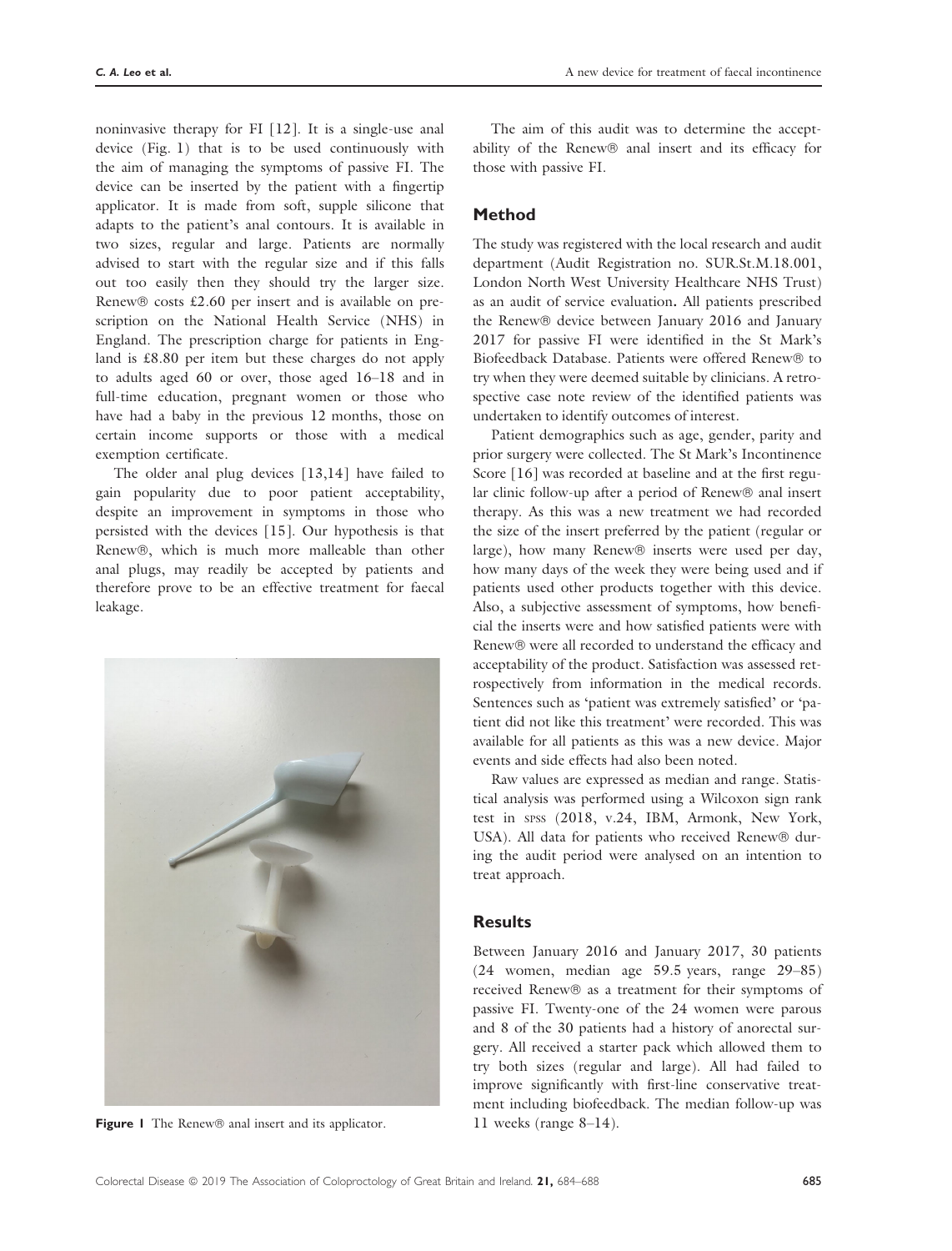noninvasive therapy for FI [12]. It is a single-use anal device (Fig. 1) that is to be used continuously with the aim of managing the symptoms of passive FI. The device can be inserted by the patient with a fingertip applicator. It is made from soft, supple silicone that adapts to the patient's anal contours. It is available in two sizes, regular and large. Patients are normally advised to start with the regular size and if this falls out too easily then they should try the larger size. Renew  $\circ$  costs £2.60 per insert and is available on prescription on the National Health Service (NHS) in England. The prescription charge for patients in England is £8.80 per item but these charges do not apply to adults aged 60 or over, those aged 16–18 and in full-time education, pregnant women or those who have had a baby in the previous 12 months, those on certain income supports or those with a medical exemption certificate.

The older anal plug devices [13,14] have failed to gain popularity due to poor patient acceptability, despite an improvement in symptoms in those who persisted with the devices [15]. Our hypothesis is that Renew®, which is much more malleable than other anal plugs, may readily be accepted by patients and therefore prove to be an effective treatment for faecal leakage.



**Figure 1** The Renew  $\circledcirc$  anal insert and its applicator. 11 weeks (range 8–14).

The aim of this audit was to determine the acceptability of the Renew® anal insert and its efficacy for those with passive FI.

#### Method

The study was registered with the local research and audit department (Audit Registration no. SUR.St.M.18.001, London North West University Healthcare NHS Trust) as an audit of service evaluation. All patients prescribed the Renew® device between January 2016 and January 2017 for passive FI were identified in the St Mark's Biofeedback Database. Patients were offered Renew<sup>®</sup> to try when they were deemed suitable by clinicians. A retrospective case note review of the identified patients was undertaken to identify outcomes of interest.

Patient demographics such as age, gender, parity and prior surgery were collected. The St Mark's Incontinence Score [16] was recorded at baseline and at the first regular clinic follow-up after a period of Renew® anal insert therapy. As this was a new treatment we had recorded the size of the insert preferred by the patient (regular or large), how many Renew<sup>®</sup> inserts were used per day, how many days of the week they were being used and if patients used other products together with this device. Also, a subjective assessment of symptoms, how beneficial the inserts were and how satisfied patients were with Renew® were all recorded to understand the efficacy and acceptability of the product. Satisfaction was assessed retrospectively from information in the medical records. Sentences such as 'patient was extremely satisfied' or 'patient did not like this treatment' were recorded. This was available for all patients as this was a new device. Major events and side effects had also been noted.

Raw values are expressed as median and range. Statistical analysis was performed using a Wilcoxon sign rank test in SPSS (2018, v.24, IBM, Armonk, New York, USA). All data for patients who received Renew® during the audit period were analysed on an intention to treat approach.

#### **Results**

Between January 2016 and January 2017, 30 patients (24 women, median age 59.5 years, range 29–85) received Renew® as a treatment for their symptoms of passive FI. Twenty-one of the 24 women were parous and 8 of the 30 patients had a history of anorectal surgery. All received a starter pack which allowed them to try both sizes (regular and large). All had failed to improve significantly with first-line conservative treatment including biofeedback. The median follow-up was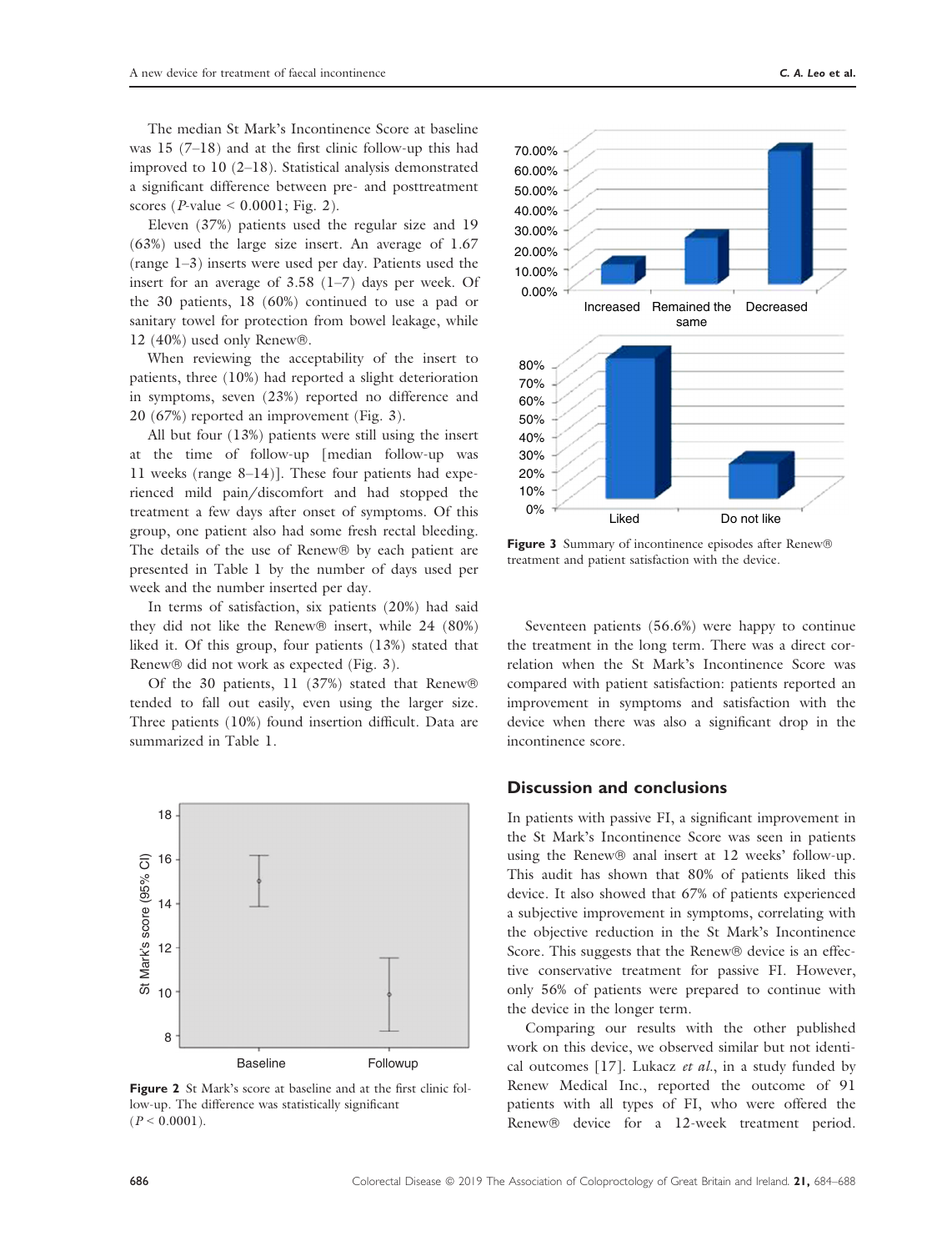The median St Mark's Incontinence Score at baseline was 15 (7–18) and at the first clinic follow-up this had improved to 10 (2–18). Statistical analysis demonstrated a significant difference between pre- and posttreatment scores ( $P$ -value < 0.0001; Fig. 2).

Eleven (37%) patients used the regular size and 19 (63%) used the large size insert. An average of 1.67 (range 1–3) inserts were used per day. Patients used the insert for an average of 3.58 (1–7) days per week. Of the 30 patients, 18 (60%) continued to use a pad or sanitary towel for protection from bowel leakage, while 12 (40%) used only Renew $\mathbb{B}$ .

When reviewing the acceptability of the insert to patients, three (10%) had reported a slight deterioration in symptoms, seven (23%) reported no difference and 20 (67%) reported an improvement (Fig. 3).

All but four (13%) patients were still using the insert at the time of follow-up [median follow-up was 11 weeks (range 8–14)]. These four patients had experienced mild pain/discomfort and had stopped the treatment a few days after onset of symptoms. Of this group, one patient also had some fresh rectal bleeding. The details of the use of Renew $\Theta$  by each patient are presented in Table 1 by the number of days used per week and the number inserted per day.

In terms of satisfaction, six patients (20%) had said they did not like the Renew $\circledR$  insert, while 24 (80%) liked it. Of this group, four patients (13%) stated that Renew® did not work as expected (Fig. 3).

Of the 30 patients, 11 (37%) stated that Renew® tended to fall out easily, even using the larger size. Three patients (10%) found insertion difficult. Data are summarized in Table 1.



Figure 2 St Mark's score at baseline and at the first clinic follow-up. The difference was statistically significant  $(P < 0.0001)$ .



Figure 3 Summary of incontinence episodes after Renew® treatment and patient satisfaction with the device.

Seventeen patients (56.6%) were happy to continue the treatment in the long term. There was a direct correlation when the St Mark's Incontinence Score was compared with patient satisfaction: patients reported an improvement in symptoms and satisfaction with the device when there was also a significant drop in the incontinence score.

### Discussion and conclusions

In patients with passive FI, a significant improvement in the St Mark's Incontinence Score was seen in patients using the Renew® anal insert at 12 weeks' follow-up. This audit has shown that 80% of patients liked this device. It also showed that 67% of patients experienced a subjective improvement in symptoms, correlating with the objective reduction in the St Mark's Incontinence Score. This suggests that the Renew® device is an effective conservative treatment for passive FI. However, only 56% of patients were prepared to continue with the device in the longer term.

Comparing our results with the other published work on this device, we observed similar but not identical outcomes [17]. Lukacz et al., in a study funded by Renew Medical Inc., reported the outcome of 91 patients with all types of FI, who were offered the Renew® device for a 12-week treatment period.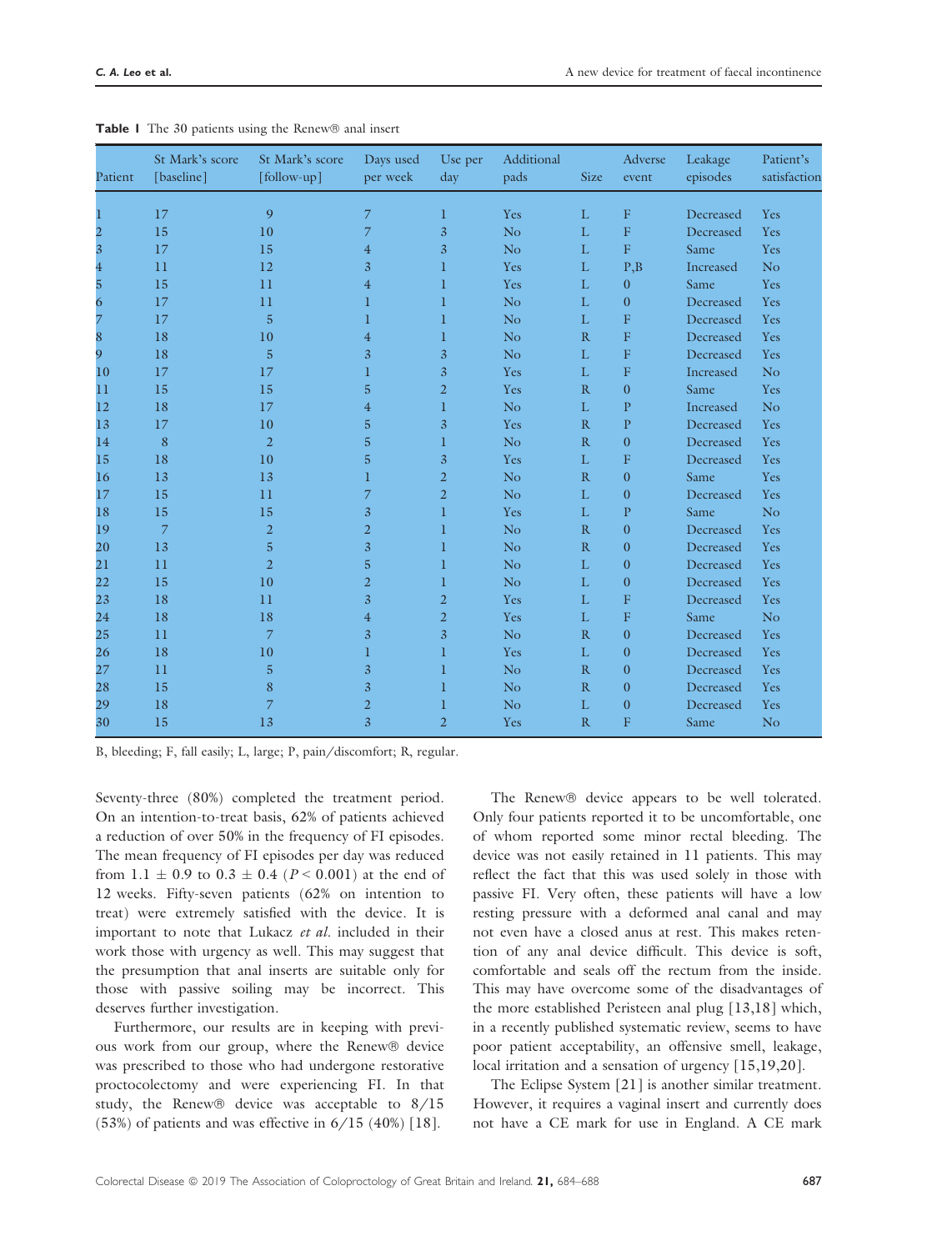| Patient                 | St Mark's score<br>[baseline] | St Mark's score<br>[follow-up]   | Days used<br>per week | Use per<br>day | Additional<br>pads | <b>Size</b>       | Adverse<br>event | Leakage<br>episodes | Patient's<br>satisfaction |
|-------------------------|-------------------------------|----------------------------------|-----------------------|----------------|--------------------|-------------------|------------------|---------------------|---------------------------|
| 1                       | 17                            | 9                                | 7                     | $\mathbf 1$    | Yes                | L                 | F                | Decreased           | Yes                       |
| $\overline{\mathbf{c}}$ | 15                            | 10                               | 7                     | $\overline{3}$ | N <sub>o</sub>     | L                 | F                | Decreased           | Yes                       |
| $\overline{\mathbf{3}}$ | 17                            | 15                               | $\overline{4}$        | $\overline{3}$ | N <sub>o</sub>     | $\mathbf L$       | ${\bf F}$        | Same                | Yes                       |
|                         | 11                            | 12                               | $\overline{3}$        | 1              | Yes                | L                 | P, B             | Increased           | N <sub>o</sub>            |
| $\frac{4}{5}$           | 15                            | 11                               | $\overline{4}$        | 1              | Yes                | $\mathbf L$       | $\mathbf{0}$     | Same                | Yes                       |
| 6                       | 17                            | 11                               | $\bf{l}$              | 1              | N <sub>o</sub>     | $\mathbf L$       | $\boldsymbol{0}$ | Decreased           | Yes                       |
| 7                       | 17                            | 5                                | 1                     | 1              | N <sub>o</sub>     | $\mathbf{L}$      | $\overline{F}$   | Decreased           | Yes                       |
| 8                       | 18                            | 10                               | $\overline{4}$        | 1              | No                 | R                 | $\mathbf F$      | Decreased           | Yes                       |
| 9                       | 18                            | 5                                | 3                     | $\overline{3}$ | N <sub>o</sub>     | $\mathbf{L}$      | F                | Decreased           | Yes                       |
| 10                      | 17                            | 17                               | 1                     | $\overline{3}$ | Yes                | $\mathbf L$       | $\mathbf F$      | Increased           | N <sub>o</sub>            |
| 11                      | 15                            | 15                               | 5                     | $\overline{2}$ | Yes                | R                 | $\boldsymbol{0}$ | Same                | Yes                       |
| 12                      | 18                            | 17                               | $\overline{4}$        | 1              | N <sub>o</sub>     | L                 | $\mathbf{P}$     | Increased           | N <sub>o</sub>            |
| 13                      | 17                            | 10                               | 5                     | $\overline{3}$ | Yes                | $\mathbb{R}$      | $\mathbf{P}$     | Decreased           | Yes                       |
| 14                      | 8                             | $\overline{2}$                   | 5                     | 1              | N <sub>o</sub>     | R                 | $\boldsymbol{0}$ | Decreased           | Yes                       |
| 15                      | 18                            | 10                               | 5                     | $\overline{3}$ | Yes                | $\mathbf{L}$      | $\overline{F}$   | Decreased           | Yes                       |
| 16                      | 13                            | 13                               | 1                     | $\overline{2}$ | N <sub>o</sub>     | R                 | $\boldsymbol{0}$ | Same                | Yes                       |
| 17                      | 15                            | 11                               | 7                     | $\overline{2}$ | No                 | $\mathbf{L}$      | $\boldsymbol{0}$ | Decreased           | Yes                       |
| 18                      | 15                            | 15                               | 3                     | $\mathbf{1}$   | Yes                | L                 | ${\bf P}$        | Same                | N <sub>o</sub>            |
|                         | $\overline{7}$                |                                  |                       |                |                    |                   |                  |                     |                           |
| 19                      | 13                            | $\overline{2}$<br>$\overline{5}$ | $\overline{2}$<br>3   | 1              | N <sub>o</sub>     | R<br>$\mathbb{R}$ | $\boldsymbol{0}$ | Decreased           | Yes                       |
| 20                      |                               |                                  |                       | 1              | No                 |                   | $\boldsymbol{0}$ | Decreased           | Yes                       |
| 21                      | 11                            | $\overline{2}$                   | 5                     | 1              | N <sub>o</sub>     | $\mathbf L$       | $\boldsymbol{0}$ | Decreased           | Yes                       |
| 22                      | 15                            | 10                               | $\overline{2}$        | $\mathbf 1$    | N <sub>o</sub>     | $\mathbf L$       | $\boldsymbol{0}$ | Decreased           | Yes                       |
| 23                      | 18                            | 11                               | 3                     | $\overline{2}$ | Yes                | $\mathbf L$       | $\mathbf F$      | Decreased           | Yes                       |
| 24                      | 18                            | 18                               | $\overline{4}$        | $\overline{2}$ | Yes                | $\mathbf L$       | F                | Same                | No                        |
| 25                      | 11                            | $\overline{7}$                   | 3                     | $\overline{3}$ | N <sub>o</sub>     | R                 | $\boldsymbol{0}$ | Decreased           | Yes                       |
| 26                      | 18                            | 10                               | 1                     | 1              | Yes                | $\mathbf L$       | $\boldsymbol{0}$ | Decreased           | Yes                       |
| 27                      | 11                            | 5                                | 3                     | 1              | N <sub>o</sub>     | R                 | $\boldsymbol{0}$ | Decreased           | Yes                       |
| 28                      | 15                            | 8                                | 3                     | 1              | N <sub>o</sub>     | R                 | $\boldsymbol{0}$ | Decreased           | Yes                       |
| 29                      | 18                            | 7                                | $\overline{2}$        | 1              | No                 | L                 | $\boldsymbol{0}$ | Decreased           | Yes                       |
| 30                      | 15                            | 13                               | 3                     | $\overline{2}$ | Yes                | R                 | $\overline{F}$   | Same                | N <sub>o</sub>            |

|  |  |  |  |  |  |  | <b>Table I</b> The 30 patients using the Renew® anal insert |  |
|--|--|--|--|--|--|--|-------------------------------------------------------------|--|
|--|--|--|--|--|--|--|-------------------------------------------------------------|--|

B, bleeding; F, fall easily; L, large; P, pain/discomfort; R, regular.

Seventy-three (80%) completed the treatment period. On an intention-to-treat basis, 62% of patients achieved a reduction of over 50% in the frequency of FI episodes. The mean frequency of FI episodes per day was reduced from 1.1  $\pm$  0.9 to 0.3  $\pm$  0.4 (P < 0.001) at the end of 12 weeks. Fifty-seven patients (62% on intention to treat) were extremely satisfied with the device. It is important to note that Lukacz et al. included in their work those with urgency as well. This may suggest that the presumption that anal inserts are suitable only for those with passive soiling may be incorrect. This deserves further investigation.

Furthermore, our results are in keeping with previous work from our group, where the Renew® device was prescribed to those who had undergone restorative proctocolectomy and were experiencing FI. In that study, the Renew $\circledast$  device was acceptable to  $8/15$  $(53%)$  of patients and was effective in  $6/15$   $(40%)$  [18].

The Renew® device appears to be well tolerated. Only four patients reported it to be uncomfortable, one of whom reported some minor rectal bleeding. The device was not easily retained in 11 patients. This may reflect the fact that this was used solely in those with passive FI. Very often, these patients will have a low resting pressure with a deformed anal canal and may not even have a closed anus at rest. This makes retention of any anal device difficult. This device is soft, comfortable and seals off the rectum from the inside. This may have overcome some of the disadvantages of the more established Peristeen anal plug [13,18] which, in a recently published systematic review, seems to have poor patient acceptability, an offensive smell, leakage, local irritation and a sensation of urgency [15,19,20].

The Eclipse System [21] is another similar treatment. However, it requires a vaginal insert and currently does not have a CE mark for use in England. A CE mark